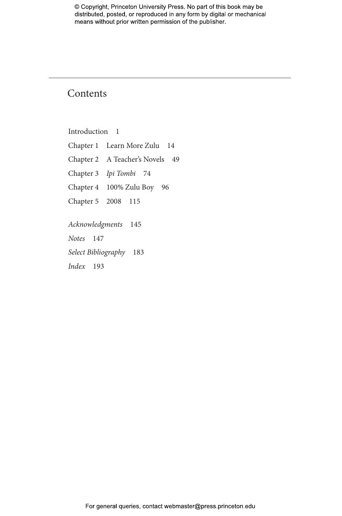## **Contents**

Introduction 1

Chapter 1 Learn More Zulu 14 Chapter 2 A Teacher's Novels 49 Chapter 3 *Ipi Tombi* 74 Chapter 4 100% Zulu Boy 96 Chapter 5 2008 115 *Acknowledgments* 145 *Notes* 147

*Select Bibliography* 183

*Index* 193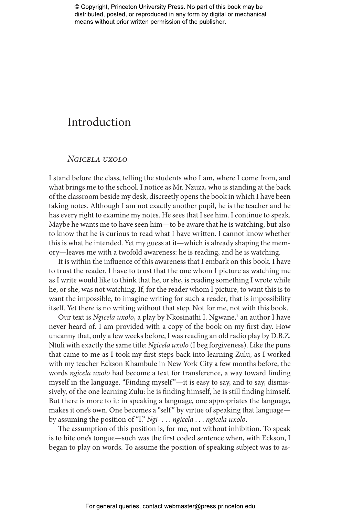## Introduction

## *Ngicela uxolo*

I stand before the class, telling the students who I am, where I come from, and what brings me to the school. I notice as Mr. Nzuza, who is standing at the back of the classroom beside my desk, discreetly opens the book in which I have been taking notes. Although I am not exactly another pupil, he is the teacher and he has every right to examine my notes. He sees that I see him. I continue to speak. Maybe he wants me to have seen him—to be aware that he is watching, but also to know that he is curious to read what I have written. I cannot know whether this is what he intended. Yet my guess at it—which is already shaping the memory—leaves me with a twofold awareness: he is reading, and he is watching.

It is within the influence of this awareness that I embark on this book. I have to trust the reader. I have to trust that the one whom I picture as watching me as I write would like to think that he, or she, is reading something I wrote while he, or she, was not watching. If, for the reader whom I picture, to want this is to want the impossible, to imagine writing for such a reader, that is impossibility itself. Yet there is no writing without that step. Not for me, not with this book.

Our text is *Ngicela uxolo*, a play by Nkosinathi I. Ngwane,<sup>1</sup> an author I have never heard of. I am provided with a copy of the book on my first day. How uncanny that, only a few weeks before, I was reading an old radio play by D.B.Z. Ntuli with exactly the same title: *Ngicela uxolo* (I beg forgiveness). Like the puns that came to me as I took my first steps back into learning Zulu, as I worked with my teacher Eckson Khambule in New York City a few months before, the words *ngicela uxolo* had become a text for transference, a way toward finding myself in the language. "Finding myself"-it is easy to say, and to say, dismissively, of the one learning Zulu: he is finding himself, he is still finding himself. But there is more to it: in speaking a language, one appropriates the language, makes it one's own. One becomes a "self" by virtue of speaking that language by assuming the position of "I." *Ngi-* . . . *ngicela* . . . *ngicela uxolo*.

The assumption of this position is, for me, not without inhibition. To speak is to bite one's tongue—such was the first coded sentence when, with Eckson, I began to play on words. To assume the position of speaking subject was to as-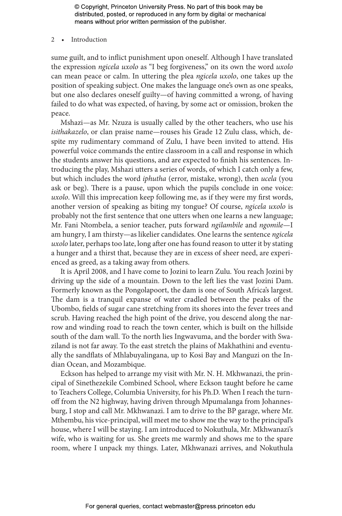2 • Introduction

sume guilt, and to inflict punishment upon oneself. Although I have translated the expression *ngicela uxolo* as "I beg forgiveness," on its own the word *uxolo* can mean peace or calm. In uttering the plea *ngicela uxolo*, one takes up the position of speaking subject. One makes the language one's own as one speaks, but one also declares oneself guilty—of having committed a wrong, of having failed to do what was expected, of having, by some act or omission, broken the peace.

Mshazi—as Mr. Nzuza is usually called by the other teachers, who use his *isithakazelo*, or clan praise name—rouses his Grade 12 Zulu class, which, despite my rudimentary command of Zulu, I have been invited to attend. His powerful voice commands the entire classroom in a call and response in which the students answer his questions, and are expected to finish his sentences. Introducing the play, Mshazi utters a series of words, of which I catch only a few, but which includes the word *iphutha* (error, mistake, wrong), then *ucela* (you ask or beg). There is a pause, upon which the pupils conclude in one voice: *uxolo*. Will this imprecation keep following me, as if they were my first words, another version of speaking as biting my tongue? Of course, *ngicela uxolo* is probably not the first sentence that one utters when one learns a new language; Mr. Fani Ntombela, a senior teacher, puts forward *ngilambile* and *ngomile*—I am hungry, I am thirsty—as likelier candidates. One learns the sentence *ngicela uxolo* later, perhaps too late, long after one has found reason to utter it by stating a hunger and a thirst that, because they are in excess of sheer need, are experienced as greed, as a taking away from others.

It is April 2008, and I have come to Jozini to learn Zulu. You reach Jozini by driving up the side of a mountain. Down to the left lies the vast Jozini Dam. Formerly known as the Pongolapoort, the dam is one of South Africa's largest. The dam is a tranquil expanse of water cradled between the peaks of the Ubombo, fields of sugar cane stretching from its shores into the fever trees and scrub. Having reached the high point of the drive, you descend along the narrow and winding road to reach the town center, which is built on the hillside south of the dam wall. To the north lies Ingwavuma, and the border with Swaziland is not far away. To the east stretch the plains of Makhathini and eventually the sandflats of Mhlabuyalingana, up to Kosi Bay and Manguzi on the Indian Ocean, and Mozambique.

Eckson has helped to arrange my visit with Mr. N. H. Mkhwanazi, the principal of Sinethezekile Combined School, where Eckson taught before he came to Teachers College, Columbia University, for his Ph.D. When I reach the turnoff from the N2 highway, having driven through Mpumalanga from Johannesburg, I stop and call Mr. Mkhwanazi. I am to drive to the BP garage, where Mr. Mthembu, his vice-principal, will meet me to show me the way to the principal's house, where I will be staying. I am introduced to Nokuthula, Mr. Mkhwanazi's wife, who is waiting for us. She greets me warmly and shows me to the spare room, where I unpack my things. Later, Mkhwanazi arrives, and Nokuthula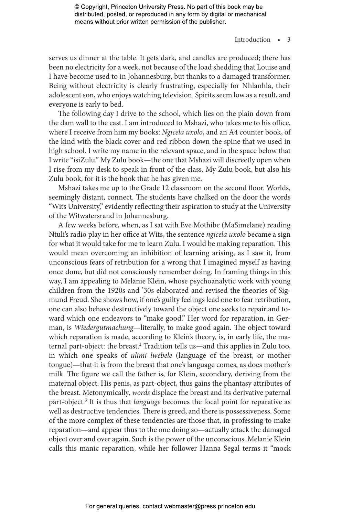### Introduction • 3

serves us dinner at the table. It gets dark, and candles are produced; there has been no electricity for a week, not because of the load shedding that Louise and I have become used to in Johannesburg, but thanks to a damaged transformer. Being without electricity is clearly frustrating, especially for Nhlanhla, their adolescent son, who enjoys watching television. Spirits seem low as a result, and everyone is early to bed.

The following day I drive to the school, which lies on the plain down from the dam wall to the east. I am introduced to Mshazi, who takes me to his office, where I receive from him my books: *Ngicela uxolo*, and an A4 counter book, of the kind with the black cover and red ribbon down the spine that we used in high school. I write my name in the relevant space, and in the space below that I write "isiZulu." My Zulu book—the one that Mshazi will discreetly open when I rise from my desk to speak in front of the class. My Zulu book, but also his Zulu book, for it is the book that he has given me.

Mshazi takes me up to the Grade 12 classroom on the second floor. Worlds, seemingly distant, connect. The students have chalked on the door the words "Wits University," evidently reflecting their aspiration to study at the University of the Witwatersrand in Johannesburg.

A few weeks before, when, as I sat with Eve Mothibe (MaSimelane) reading Ntuli's radio play in her office at Wits, the sentence *ngicela uxolo* became a sign for what it would take for me to learn Zulu. I would be making reparation. This would mean overcoming an inhibition of learning arising, as I saw it, from unconscious fears of retribution for a wrong that I imagined myself as having once done, but did not consciously remember doing. In framing things in this way, I am appealing to Melanie Klein, whose psychoanalytic work with young children from the 1920s and '30s elaborated and revised the theories of Sigmund Freud. She shows how, if one's guilty feelings lead one to fear retribution, one can also behave destructively toward the object one seeks to repair and toward which one endeavors to "make good." Her word for reparation, in German, is *Wiedergutmachung*—literally, to make good again. The object toward which reparation is made, according to Klein's theory, is, in early life, the maternal part-object: the breast.<sup>2</sup> Tradition tells us—and this applies in Zulu too, in which one speaks of *ulimi lwebele* (language of the breast, or mother tongue)—that it is from the breast that one's language comes, as does mother's milk. The figure we call the father is, for Klein, secondary, deriving from the maternal object. His penis, as part-object, thus gains the phantasy attributes of the breast. Metonymically, *words* displace the breast and its derivative paternal part-object.<sup>3</sup> It is thus that *language* becomes the focal point for reparative as well as destructive tendencies. There is greed, and there is possessiveness. Some of the more complex of these tendencies are those that, in professing to make reparation—and appear thus to the one doing so—actually attack the damaged object over and over again. Such is the power of the unconscious. Melanie Klein calls this manic reparation, while her follower Hanna Segal terms it "mock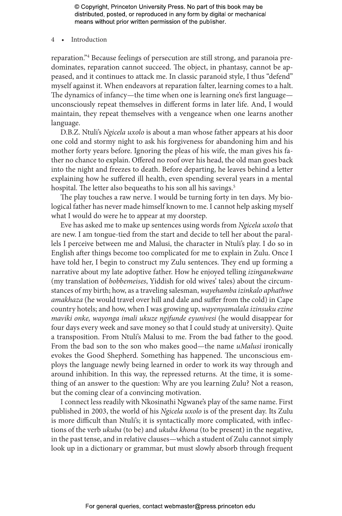4 • Introduction

reparation."4 Because feelings of persecution are still strong, and paranoia predominates, reparation cannot succeed. The object, in phantasy, cannot be appeased, and it continues to attack me. In classic paranoid style, I thus "defend" myself against it. When endeavors at reparation falter, learning comes to a halt. The dynamics of infancy—the time when one is learning one's first language unconsciously repeat themselves in different forms in later life. And, I would maintain, they repeat themselves with a vengeance when one learns another language.

D.B.Z. Ntuli's *Ngicela uxolo* is about a man whose father appears at his door one cold and stormy night to ask his forgiveness for abandoning him and his mother forty years before. Ignoring the pleas of his wife, the man gives his father no chance to explain. Offered no roof over his head, the old man goes back into the night and freezes to death. Before departing, he leaves behind a letter explaining how he suffered ill health, even spending several years in a mental hospital. The letter also bequeaths to his son all his savings.<sup>5</sup>

The play touches a raw nerve. I would be turning forty in ten days. My biological father has never made himself known to me. I cannot help asking myself what I would do were he to appear at my doorstep.

Eve has asked me to make up sentences using words from *Ngicela uxolo* that are new. I am tongue-tied from the start and decide to tell her about the parallels I perceive between me and Malusi, the character in Ntuli's play. I do so in English after things become too complicated for me to explain in Zulu. Once I have told her, I begin to construct my Zulu sentences. They end up forming a narrative about my late adoptive father. How he enjoyed telling *izinganekwane* (my translation of *bobbemeises*, Yiddish for old wives' tales) about the circumstances of my birth; how, as a traveling salesman, *wayehamba izinkalo aphathwe amakhaza* (he would travel over hill and dale and suffer from the cold) in Cape country hotels; and how, when I was growing up, *wayenyamalala izinsuku ezine maviki onke, wayonga imali ukuze ngifunde eyunivesi* (he would disappear for four days every week and save money so that I could study at university). Quite a transposition. From Ntuli's Malusi to me. From the bad father to the good. From the bad son to the son who makes good—the name *uMalusi* ironically evokes the Good Shepherd. Something has happened. The unconscious employs the language newly being learned in order to work its way through and around inhibition. In this way, the repressed returns. At the time, it is something of an answer to the question: Why are you learning Zulu? Not a reason, but the coming clear of a convincing motivation.

I connect less readily with Nkosinathi Ngwane's play of the same name. First published in 2003, the world of his *Ngicela uxolo* is of the present day. Its Zulu is more difficult than Ntuli's; it is syntactically more complicated, with inflections of the verb *ukuba* (to be) and *ukuba khona* (to be present) in the negative, in the past tense, and in relative clauses—which a student of Zulu cannot simply look up in a dictionary or grammar, but must slowly absorb through frequent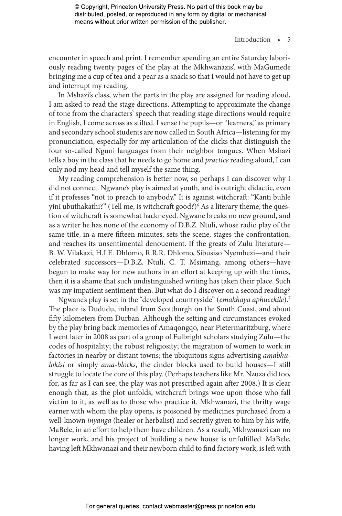### Introduction • 5

encounter in speech and print. I remember spending an entire Saturday laboriously reading twenty pages of the play at the Mkhwanazis', with MaGumede bringing me a cup of tea and a pear as a snack so that I would not have to get up and interrupt my reading.

In Mshazi's class, when the parts in the play are assigned for reading aloud, I am asked to read the stage directions. Attempting to approximate the change of tone from the characters' speech that reading stage directions would require in English, I come across as stilted. I sense the pupils—or "learners," as primary and secondary school students are now called in South Africa—listening for my pronunciation, especially for my articulation of the clicks that distinguish the four so-called Nguni languages from their neighbor tongues. When Mshazi tells a boy in the class that he needs to go home and *practice* reading aloud, I can only nod my head and tell myself the same thing.

My reading comprehension is better now, so perhaps I can discover why I did not connect. Ngwane's play is aimed at youth, and is outright didactic, even if it professes "not to preach to anybody." It is against witchcraft: "Kanti buhle yini ubuthakathi?" (Tell me, is witchcraft good?)<sup>6</sup> As a literary theme, the question of witchcraft is somewhat hackneyed. Ngwane breaks no new ground, and as a writer he has none of the economy of D.B.Z. Ntuli, whose radio play of the same title, in a mere fifteen minutes, sets the scene, stages the confrontation, and reaches its unsentimental denouement. If the greats of Zulu literature— B. W. Vilakazi, H.I.E. Dhlomo, R.R.R. Dhlomo, Sibusiso Nyembezi—and their celebrated successors—D.B.Z. Ntuli, C. T. Msimang, among others—have begun to make way for new authors in an effort at keeping up with the times, then it is a shame that such undistinguished writing has taken their place. Such was my impatient sentiment then. But what do I discover on a second reading?

Ngwane's play is set in the "developed countryside" (*emakhaya aphucekile*).7 The place is Dududu, inland from Scottburgh on the South Coast, and about fifty kilometers from Durban. Although the setting and circumstances evoked by the play bring back memories of Amaqongqo, near Pietermaritzburg, where I went later in 2008 as part of a group of Fulbright scholars studying Zulu—the codes of hospitality; the robust religiosity; the migration of women to work in factories in nearby or distant towns; the ubiquitous signs advertising *amabhulokisi* or simply *ama-blocks*, the cinder blocks used to build houses—I still struggle to locate the core of this play. (Perhaps teachers like Mr. Nzuza did too, for, as far as I can see, the play was not prescribed again after 2008.) It is clear enough that, as the plot unfolds, witchcraft brings woe upon those who fall victim to it, as well as to those who practice it. Mkhwanazi, the thrifty wage earner with whom the play opens, is poisoned by medicines purchased from a well-known *inyanga* (healer or herbalist) and secretly given to him by his wife, MaBele, in an effort to help them have children. As a result, Mkhwanazi can no longer work, and his project of building a new house is unfulfilled. MaBele, having left Mkhwanazi and their newborn child to find factory work, is left with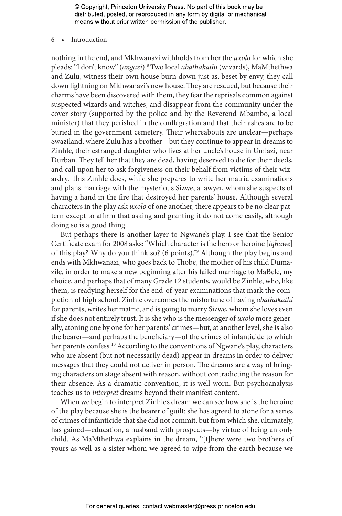6 • Introduction

nothing in the end, and Mkhwanazi withholds from her the *uxolo* for which she pleads: "I don't know" (*angazi*).8 Two local *abathakathi* (wizards), MaMthethwa and Zulu, witness their own house burn down just as, beset by envy, they call down lightning on Mkhwanazi's new house. They are rescued, but because their charms have been discovered with them, they fear the reprisals common against suspected wizards and witches, and disappear from the community under the cover story (supported by the police and by the Reverend Mbambo, a local minister) that they perished in the conflagration and that their ashes are to be buried in the government cemetery. Their whereabouts are unclear—perhaps Swaziland, where Zulu has a brother—but they continue to appear in dreams to Zinhle, their estranged daughter who lives at her uncle's house in Umlazi, near Durban. They tell her that they are dead, having deserved to die for their deeds, and call upon her to ask forgiveness on their behalf from victims of their wizardry. This Zinhle does, while she prepares to write her matric examinations and plans marriage with the mysterious Sizwe, a lawyer, whom she suspects of having a hand in the fire that destroyed her parents' house. Although several characters in the play ask *uxolo* of one another, there appears to be no clear pattern except to affirm that asking and granting it do not come easily, although doing so is a good thing.

But perhaps there is another layer to Ngwane's play. I see that the Senior Certificate exam for 2008 asks: "Which character is the hero or heroine [*iqhawe*] of this play? Why do you think so? (6 points)."9 Although the play begins and ends with Mkhwanazi, who goes back to Thobe, the mother of his child Dumazile, in order to make a new beginning after his failed marriage to MaBele, my choice, and perhaps that of many Grade 12 students, would be Zinhle, who, like them, is readying herself for the end-of-year examinations that mark the completion of high school. Zinhle overcomes the misfortune of having *abathakathi* for parents, writes her matric, and is going to marry Sizwe, whom she loves even if she does not entirely trust. It is she who is the messenger of *uxolo* more generally, atoning one by one for her parents' crimes—but, at another level, she is also the bearer—and perhaps the beneficiary—of the crimes of infanticide to which her parents confess.<sup>10</sup> According to the conventions of Ngwane's play, characters who are absent (but not necessarily dead) appear in dreams in order to deliver messages that they could not deliver in person. The dreams are a way of bringing characters on stage absent with reason, without contradicting the reason for their absence. As a dramatic convention, it is well worn. But psychoanalysis teaches us to *interpret* dreams beyond their manifest content.

When we begin to interpret Zinhle's dream we can see how she is the heroine of the play because she is the bearer of guilt: she has agreed to atone for a series of crimes of infanticide that she did not commit, but from which she, ultimately, has gained—education, a husband with prospects—by virtue of being an only child. As MaMthethwa explains in the dream, "[t]here were two brothers of yours as well as a sister whom we agreed to wipe from the earth because we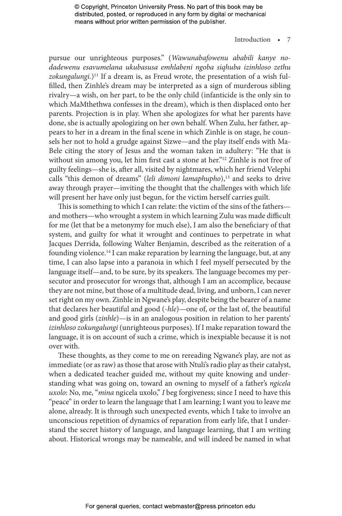### Introduction • 7

pursue our unrighteous purposes." (*Wawunabafowenu ababili kanye nodadewenu esavumelana ukubasusa emhlabeni ngoba siqhuba izinhloso zethu*  zokungalungi.)<sup>11</sup> If a dream is, as Freud wrote, the presentation of a wish fulfilled, then Zinhle's dream may be interpreted as a sign of murderous sibling rivalry—a wish, on her part, to be the only child (infanticide is the only sin to which MaMthethwa confesses in the dream), which is then displaced onto her parents. Projection is in play. When she apologizes for what her parents have done, she is actually apologizing on her own behalf. When Zulu, her father, appears to her in a dream in the final scene in which Zinhle is on stage, he counsels her not to hold a grudge against Sizwe—and the play itself ends with Ma-Bele citing the story of Jesus and the woman taken in adultery: "He that is without sin among you, let him first cast a stone at her."<sup>12</sup> Zinhle is not free of guilty feelings—she is, after all, visited by nightmares, which her friend Velephi calls "this demon of dreams" (*leli dimoni lamaphupho*),<sup>13</sup> and seeks to drive away through prayer—inviting the thought that the challenges with which life will present her have only just begun, for the victim herself carries guilt.

This is something to which I can relate: the victim of the sins of the fathers and mothers—who wrought a system in which learning Zulu was made difficult for me (let that be a metonymy for much else), I am also the beneficiary of that system, and guilty for what it wrought and continues to perpetrate in what Jacques Derrida, following Walter Benjamin, described as the reiteration of a founding violence.14 I can make reparation by learning the language, but, at any time, I can also lapse into a paranoia in which I feel myself persecuted by the language itself—and, to be sure, by its speakers. The language becomes my persecutor and prosecutor for wrongs that, although I am an accomplice, because they are not mine, but those of a multitude dead, living, and unborn, I can never set right on my own. Zinhle in Ngwane's play, despite being the bearer of a name that declares her beautiful and good (-*hle*)—one of, or the last of, the beautiful and good girls (*zinhle*)—is in an analogous position in relation to her parents' *izinhloso zokungalungi* (unrighteous purposes). If I make reparation toward the language, it is on account of such a crime, which is inexpiable because it is not over with.

These thoughts, as they come to me on rereading Ngwane's play, are not as immediate (or as raw) as those that arose with Ntuli's radio play as their catalyst, when a dedicated teacher guided me, without my quite knowing and understanding what was going on, toward an owning to myself of a father's *ngicela uxolo*: No, me, "*mina* ngicela uxolo," *I* beg forgiveness; since I need to have this "peace" in order to learn the language that I am learning; I want you to leave me alone, already. It is through such unexpected events, which I take to involve an unconscious repetition of dynamics of reparation from early life, that I understand the secret history of language, and language learning, that I am writing about. Historical wrongs may be nameable, and will indeed be named in what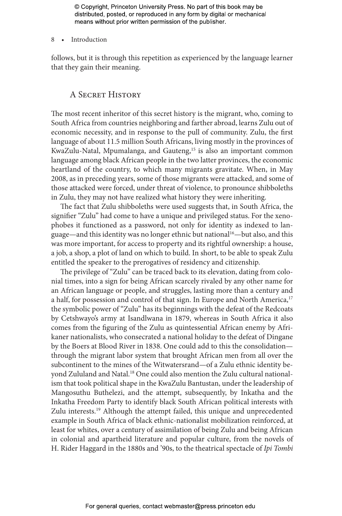8 • Introduction

follows, but it is through this repetition as experienced by the language learner that they gain their meaning.

## A Secret History

The most recent inheritor of this secret history is the migrant, who, coming to South Africa from countries neighboring and farther abroad, learns Zulu out of economic necessity, and in response to the pull of community. Zulu, the first language of about 11.5 million South Africans, living mostly in the provinces of KwaZulu-Natal, Mpumalanga, and Gauteng,<sup>15</sup> is also an important common language among black African people in the two latter provinces, the economic heartland of the country, to which many migrants gravitate. When, in May 2008, as in preceding years, some of those migrants were attacked, and some of those attacked were forced, under threat of violence, to pronounce shibboleths in Zulu, they may not have realized what history they were inheriting.

The fact that Zulu shibboleths were used suggests that, in South Africa, the signifier "Zulu" had come to have a unique and privileged status. For the xenophobes it functioned as a password, not only for identity as indexed to language—and this identity was no longer ethnic but national16—but also, and this was more important, for access to property and its rightful ownership: a house, a job, a shop, a plot of land on which to build. In short, to be able to speak Zulu entitled the speaker to the prerogatives of residency and citizenship.

The privilege of "Zulu" can be traced back to its elevation, dating from colonial times, into a sign for being African scarcely rivaled by any other name for an African language or people, and struggles, lasting more than a century and a half, for possession and control of that sign. In Europe and North America,<sup>17</sup> the symbolic power of "Zulu" has its beginnings with the defeat of the Redcoats by Cetshwayo's army at Isandlwana in 1879, whereas in South Africa it also comes from the figuring of the Zulu as quintessential African enemy by Afrikaner nationalists, who consecrated a national holiday to the defeat of Dingane by the Boers at Blood River in 1838. One could add to this the consolidation through the migrant labor system that brought African men from all over the subcontinent to the mines of the Witwatersrand—of a Zulu ethnic identity beyond Zululand and Natal.18 One could also mention the Zulu cultural nationalism that took political shape in the KwaZulu Bantustan, under the leadership of Mangosuthu Buthelezi, and the attempt, subsequently, by Inkatha and the Inkatha Freedom Party to identify black South African political interests with Zulu interests.<sup>19</sup> Although the attempt failed, this unique and unprecedented example in South Africa of black ethnic-nationalist mobilization reinforced, at least for whites, over a century of assimilation of being Zulu and being African in colonial and apartheid literature and popular culture, from the novels of H. Rider Haggard in the 1880s and '90s, to the theatrical spectacle of *Ipi Tombi*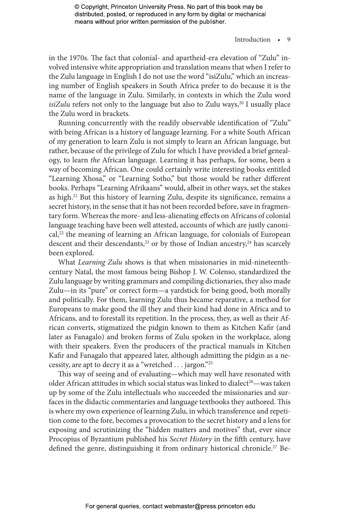## Introduction • 9

in the 1970s. The fact that colonial- and apartheid-era elevation of "Zulu" involved intensive white appropriation and translation means that when I refer to the Zulu language in English I do not use the word "isiZulu," which an increasing number of English speakers in South Africa prefer to do because it is the name of the language in Zulu. Similarly, in contexts in which the Zulu word  $i$ *siZulu* refers not only to the language but also to Zulu ways,  $20$  I usually place the Zulu word in brackets.

Running concurrently with the readily observable identification of "Zulu" with being African is a history of language learning. For a white South African of my generation to learn Zulu is not simply to learn an African language, but rather, because of the privilege of Zulu for which I have provided a brief genealogy, to learn *the* African language. Learning it has perhaps, for some, been a way of becoming African. One could certainly write interesting books entitled "Learning Xhosa," or "Learning Sotho," but those would be rather different books. Perhaps "Learning Afrikaans" would, albeit in other ways, set the stakes as high.<sup>21</sup> But this history of learning Zulu, despite its significance, remains a secret history, in the sense that it has not been recorded before, save in fragmentary form. Whereas the more- and less-alienating effects on Africans of colonial language teaching have been well attested, accounts of which are justly canoni $cal<sub>1</sub><sup>22</sup>$  the meaning of learning an African language, for colonials of European descent and their descendants,<sup>23</sup> or by those of Indian ancestry,<sup>24</sup> has scarcely been explored.

What *Learning Zulu* shows is that when missionaries in mid-nineteenthcentury Natal, the most famous being Bishop J. W. Colenso, standardized the Zulu language by writing grammars and compiling dictionaries, they also made Zulu—in its "pure" or correct form—a yardstick for being good, both morally and politically. For them, learning Zulu thus became reparative, a method for Europeans to make good the ill they and their kind had done in Africa and to Africans, and to forestall its repetition. In the process, they, as well as their African converts, stigmatized the pidgin known to them as Kitchen Kafir (and later as Fanagalo) and broken forms of Zulu spoken in the workplace, along with their speakers. Even the producers of the practical manuals in Kitchen Kafir and Fanagalo that appeared later, although admitting the pidgin as a necessity, are apt to decry it as a "wretched . . . jargon."25

This way of seeing and of evaluating—which may well have resonated with older African attitudes in which social status was linked to dialect<sup>26</sup>—was taken up by some of the Zulu intellectuals who succeeded the missionaries and surfaces in the didactic commentaries and language textbooks they authored. This is where my own experience of learning Zulu, in which transference and repetition come to the fore, becomes a provocation to the secret history and a lens for exposing and scrutinizing the "hidden matters and motives" that, ever since Procopius of Byzantium published his *Secret History* in the fifth century, have defined the genre, distinguishing it from ordinary historical chronicle.<sup>27</sup> Be-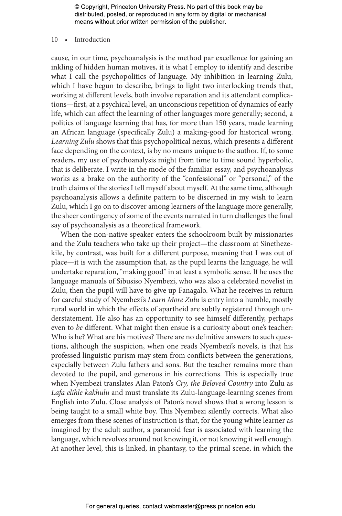#### 10 • Introduction

cause, in our time, psychoanalysis is the method par excellence for gaining an inkling of hidden human motives, it is what I employ to identify and describe what I call the psychopolitics of language. My inhibition in learning Zulu, which I have begun to describe, brings to light two interlocking trends that, working at different levels, both involve reparation and its attendant complications—first, at a psychical level, an unconscious repetition of dynamics of early life, which can affect the learning of other languages more generally; second, a politics of language learning that has, for more than 150 years, made learning an African language (specifically Zulu) a making-good for historical wrong. *Learning Zulu* shows that this psychopolitical nexus, which presents a different face depending on the context, is by no means unique to the author. If, to some readers, my use of psychoanalysis might from time to time sound hyperbolic, that is deliberate. I write in the mode of the familiar essay, and psychoanalysis works as a brake on the authority of the "confessional" or "personal," of the truth claims of the stories I tell myself about myself. At the same time, although psychoanalysis allows a definite pattern to be discerned in my wish to learn Zulu, which I go on to discover among learners of the language more generally, the sheer contingency of some of the events narrated in turn challenges the final say of psychoanalysis as a theoretical framework.

When the non-native speaker enters the schoolroom built by missionaries and the Zulu teachers who take up their project—the classroom at Sinethezekile, by contrast, was built for a different purpose, meaning that I was out of place—it is with the assumption that, as the pupil learns the language, he will undertake reparation, "making good" in at least a symbolic sense. If he uses the language manuals of Sibusiso Nyembezi, who was also a celebrated novelist in Zulu, then the pupil will have to give up Fanagalo. What he receives in return for careful study of Nyembezi's *Learn More Zulu* is entry into a humble, mostly rural world in which the effects of apartheid are subtly registered through understatement. He also has an opportunity to see himself differently, perhaps even to *be* different. What might then ensue is a curiosity about one's teacher: Who is he? What are his motives? There are no definitive answers to such questions, although the suspicion, when one reads Nyembezi's novels, is that his professed linguistic purism may stem from conflicts between the generations, especially between Zulu fathers and sons. But the teacher remains more than devoted to the pupil, and generous in his corrections. This is especially true when Nyembezi translates Alan Paton's *Cry, the Beloved Country* into Zulu as *Lafa elihle kakhulu* and must translate its Zulu-language-learning scenes from English into Zulu. Close analysis of Paton's novel shows that a wrong lesson is being taught to a small white boy. This Nyembezi silently corrects. What also emerges from these scenes of instruction is that, for the young white learner as imagined by the adult author, a paranoid fear is associated with learning the language, which revolves around not knowing it, or not knowing it well enough. At another level, this is linked, in phantasy, to the primal scene, in which the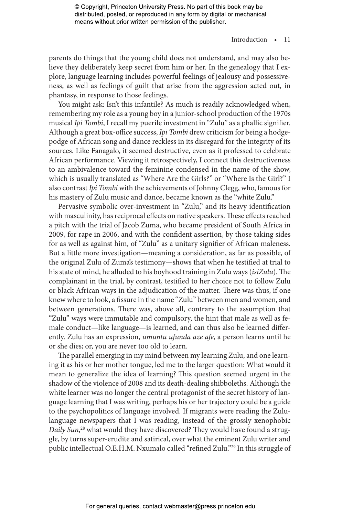### Introduction • 11

parents do things that the young child does not understand, and may also believe they deliberately keep secret from him or her. In the genealogy that I explore, language learning includes powerful feelings of jealousy and possessiveness, as well as feelings of guilt that arise from the aggression acted out, in phantasy, in response to those feelings.

You might ask: Isn't this infantile? As much is readily acknowledged when, remembering my role as a young boy in a junior-school production of the 1970s musical *Ipi Tombi*, I recall my puerile investment in "Zulu" as a phallic signifier. Although a great box-office success, *Ipi Tombi* drew criticism for being a hodgepodge of African song and dance reckless in its disregard for the integrity of its sources. Like Fanagalo, it seemed destructive, even as it professed to celebrate African performance. Viewing it retrospectively, I connect this destructiveness to an ambivalence toward the feminine condensed in the name of the show, which is usually translated as "Where Are the Girls?" or "Where Is the Girl?" I also contrast *Ipi Tombi* with the achievements of Johnny Clegg, who, famous for his mastery of Zulu music and dance, became known as the "white Zulu."

Pervasive symbolic over-investment in "Zulu," and its heavy identification with masculinity, has reciprocal effects on native speakers. These effects reached a pitch with the trial of Jacob Zuma, who became president of South Africa in 2009, for rape in 2006, and with the confident assertion, by those taking sides for as well as against him, of "Zulu" as a unitary signifier of African maleness. But a little more investigation—meaning a consideration, as far as possible, of the original Zulu of Zuma's testimony—shows that when he testified at trial to his state of mind, he alluded to his boyhood training in Zulu ways (*isiZulu*). The complainant in the trial, by contrast, testified to her choice not to follow Zulu or black African ways in the adjudication of the matter. There was thus, if one knew where to look, a fissure in the name "Zulu" between men and women, and between generations. There was, above all, contrary to the assumption that "Zulu" ways were immutable and compulsory, the hint that male as well as female conduct—like language—is learned, and can thus also be learned differently. Zulu has an expression, *umuntu ufunda aze afe*, a person learns until he or she dies; or, you are never too old to learn.

The parallel emerging in my mind between my learning Zulu, and one learning it as his or her mother tongue, led me to the larger question: What would it mean to generalize the idea of learning? This question seemed urgent in the shadow of the violence of 2008 and its death-dealing shibboleths. Although the white learner was no longer the central protagonist of the secret history of language learning that I was writing, perhaps his or her trajectory could be a guide to the psychopolitics of language involved. If migrants were reading the Zululanguage newspapers that I was reading, instead of the grossly xenophobic *Daily Sun*, 28 what would they have discovered? They would have found a struggle, by turns super-erudite and satirical, over what the eminent Zulu writer and public intellectual O.E.H.M. Nxumalo called "refined Zulu."29 In this struggle of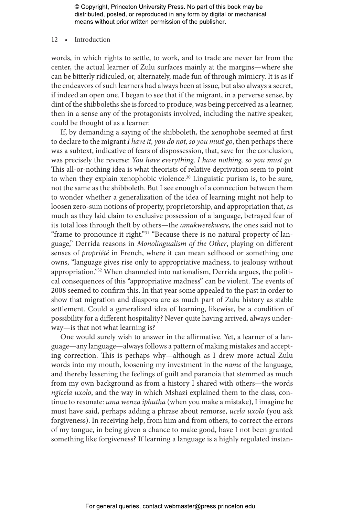#### 12 • Introduction

words, in which rights to settle, to work, and to trade are never far from the center, the actual learner of Zulu surfaces mainly at the margins—where she can be bitterly ridiculed, or, alternately, made fun of through mimicry. It is as if the endeavors of such learners had always been at issue, but also always a secret, if indeed an open one. I began to see that if the migrant, in a perverse sense, by dint of the shibboleths she is forced to produce, was being perceived as a learner, then in a sense any of the protagonists involved, including the native speaker, could be thought of as a learner.

If, by demanding a saying of the shibboleth, the xenophobe seemed at first to declare to the migrant *I have it, you do not, so you must go*, then perhaps there was a subtext, indicative of fears of dispossession, that, save for the conclusion, was precisely the reverse: *You have everything, I have nothing, so you must go*. This all-or-nothing idea is what theorists of relative deprivation seem to point to when they explain xenophobic violence.<sup>30</sup> Linguistic purism is, to be sure, not the same as the shibboleth. But I see enough of a connection between them to wonder whether a generalization of the idea of learning might not help to loosen zero-sum notions of property, proprietorship, and appropriation that, as much as they laid claim to exclusive possession of a language, betrayed fear of its total loss through theft by others—the *amakwerekwere*, the ones said not to "frame to pronounce it right."<sup>31</sup> "Because there is no natural property of language," Derrida reasons in *Monolingualism of the Other*, playing on different senses of *propriété* in French, where it can mean selfhood or something one owns, "language gives rise only to appropriative madness, to jealousy without appropriation."32 When channeled into nationalism, Derrida argues, the political consequences of this "appropriative madness" can be violent. The events of 2008 seemed to confirm this. In that year some appealed to the past in order to show that migration and diaspora are as much part of Zulu history as stable settlement. Could a generalized idea of learning, likewise, be a condition of possibility for a different hospitality? Never quite having arrived, always underway—is that not what learning is?

One would surely wish to answer in the affirmative. Yet, a learner of a language—any language—always follows a pattern of making mistakes and accepting correction. This is perhaps why—although as I drew more actual Zulu words into my mouth, loosening my investment in the *name* of the language, and thereby lessening the feelings of guilt and paranoia that stemmed as much from my own background as from a history I shared with others—the words *ngicela uxolo*, and the way in which Mshazi explained them to the class, continue to resonate: *uma wenza iphutha* (when you make a mistake), I imagine he must have said, perhaps adding a phrase about remorse, *ucela uxolo* (you ask forgiveness). In receiving help, from him and from others, to correct the errors of my tongue, in being given a chance to make good, have I not been granted something like forgiveness? If learning a language is a highly regulated instan-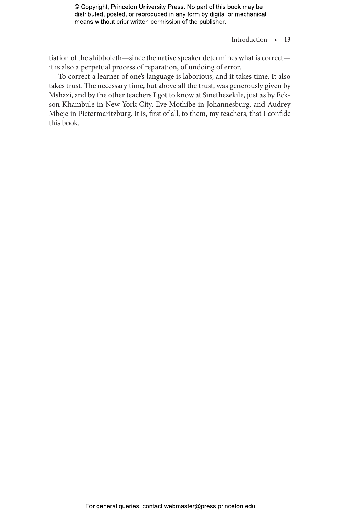## Introduction • 13

tiation of the shibboleth—since the native speaker determines what is correct it is also a perpetual process of reparation, of undoing of error.

To correct a learner of one's language is laborious, and it takes time. It also takes trust. The necessary time, but above all the trust, was generously given by Mshazi, and by the other teachers I got to know at Sinethezekile, just as by Eckson Khambule in New York City, Eve Mothibe in Johannesburg, and Audrey Mbeje in Pietermaritzburg. It is, first of all, to them, my teachers, that I confide this book.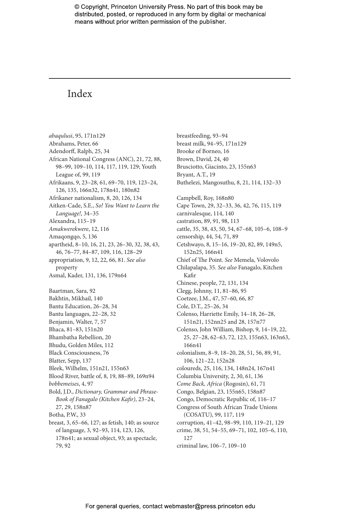# Index

*abaqulusi*, 95, 171n129 Abrahams, Peter, 66 Adendorff, Ralph, 25, 34 African National Congress (ANC), 21, 72, 88, 98–99, 109–10, 114, 117, 119, 129; Youth League of, 99, 119 Afrikaans, 9, 23–28, 61, 69–70, 119, 123–24, 126, 135, 166n32, 178n41, 180n82 Afrikaner nationalism, 8, 20, 126, 134 Aitken-Cade, S.E., *So! You Want to Learn the Language!*, 34–35 Alexandra, 115–19 *Amakwerekwere*, 12, 116 Amaqongqo, 5, 136 apartheid, 8–10, 16, 21, 23, 26–30, 32, 38, 43, 46, 76–77, 84–87, 109, 116, 128–29 appropriation, 9, 12, 22, 66, 81. *See also* property Asmal, Kader, 131, 136, 179n64 Baartman, Sara, 92 Bakhtin, Mikhail, 140 Bantu Education, 26–28, 34 Bantu languages, 22–28, 32 Benjamin, Walter, 7, 57 Bhaca, 81–83, 151n20 Bhambatha Rebellion, 20 Bhudu, Golden Miles, 112 Black Consciousness, 76 Blatter, Sepp, 137 Bleek, Wilhelm, 151n21, 155n63 Blood River, battle of, 8, 19, 88–89, 169n94 *bobbemeises*, 4, 97 Bold, J.D., *Dictionary, Grammar and Phrase-Book of Fanagalo (Kitchen Kafir)*, 23–24, 27, 29, 158n87 Botha, P.W., 33 breast, 3, 65–66, 127; as fetish, 140; as source of language, 3, 92–93, 114, 123, 126,

178n41; as sexual object, 93; as spectacle, 79, 92

breastfeeding, 93–94 breast milk, 94–95, 171n129 Brooke of Borneo, 16 Brown, David, 24, 40 Brusciotto, Giacinto, 23, 155n63 Bryant, A.T., 19 Buthelezi, Mangosuthu, 8, 21, 114, 132–33 Campbell, Roy, 168n80 Cape Town, 29, 32–33, 36, 42, 76, 115, 119 carnivalesque, 114, 140 castration, 89, 91, 98, 113 cattle, 35, 38, 43, 50, 54, 67–68, 105–6, 108–9 censorship, 44, 54, 71, 89 Cetshwayo, 8, 15–16, 19–20, 82, 89, 149n5, 152n25, 166n41 Chief of The Point. *See* Memela, Volovolo Chilapalapa, 35. *See also* Fanagalo, Kitchen Kafir Chinese, people, 72, 131, 134 Clegg, Johnny, 11, 81–86, 95 Coetzee, J.M., 47, 57–60, 66, 87 Cole, D.T., 25–26, 34 Colenso, Harriette Emily, 14–18, 26–28, 151n21, 152nn25 and 28, 157n77 Colenso, John William, Bishop, 9, 14–19, 22, 25, 27–28, 62–63, 72, 123, 155n63, 163n63, 166n41 colonialism, 8–9, 18–20, 28, 51, 56, 89, 91, 106, 121–22, 152n28 coloureds, 25, 116, 134, 148n24, 167n41 Columbia University, 2, 30, 61, 136 *Come Back, Africa* (Rogosin), 61, 71 Congo, Belgian, 23, 155n65, 158n87 Congo, Democratic Republic of, 116–17 Congress of South African Trade Unions (COSATU), 99, 117, 119 corruption, 41–42, 98–99, 110, 119–21, 129 crime, 38, 51, 54–55, 69–71, 102, 105–6, 110, 127 criminal law, 106–7, 109–10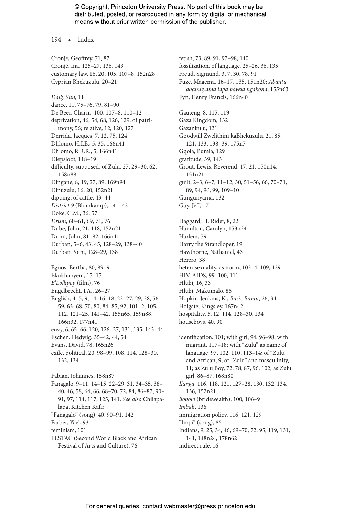194 • Index

Cronjé, Geoffrey, 71, 87 Cronjé, Ina, 125–27, 136, 143 customary law, 16, 20, 105, 107–8, 152n28 Cyprian Bhekuzulu, 20–21 *Daily Sun*, 11 dance, 11, 75–76, 79, 81–90 De Beer, Charin, 100, 107–8, 110–12 deprivation, 46, 54, 68, 126, 129; of patrimony, 56; relative, 12, 120, 127 Derrida, Jacques, 7, 12, 75, 124 Dhlomo, H.I.E., 5, 35, 166n41 Dhlomo, R.R.R., 5, 166n41 Diepsloot, 118–19 difficulty, supposed, of Zulu, 27, 29–30, 62, 158n88 Dingane, 8, 19, 27, 89, 169n94 Dinuzulu, 16, 20, 152n21 dipping, of cattle, 43–44 *District 9* (Blomkamp), 141–42 Doke, C.M., 36, 57 *Drum*, 60–61, 69, 71, 76 Dube, John, 21, 118, 152n21 Dunn, John, 81–82, 166n41 Durban, 5–6, 43, 45, 128–29, 138–40 Durban Point, 128–29, 138 Egnos, Bertha, 80, 89–91 Ekukhanyeni, 15–17 *E'Lollipop* (film), 76 Engelbrecht, J.A., 26–27 English, 4–5, 9, 14, 16–18, 23–27, 29, 38, 56– 59, 63–68, 70, 80, 84–85, 92, 101–2, 105, 112, 121–25, 141–42, 155n65, 159n88, 166n32, 177n41 envy, 6, 65–66, 120, 126–27, 131, 135, 143–44 Eschen, Hedwig, 35–42, 44, 54 Evans, David, 78, 165n26 exile, political, 20, 98–99, 108, 114, 128–30, 132, 134 Fabian, Johannes, 158n87 Fanagalo, 9–11, 14–15, 22–29, 31, 34–35, 38– 40, 46, 58, 64, 66, 68–70, 72, 84, 86–87, 90– 91, 97, 114, 117, 125, 141. *See also* Chilapalapa, Kitchen Kafir "Fanagalo" (song), 40, 90–91, 142 Farber, Yael, 93 feminism, 101 FESTAC (Second World Black and African

Festival of Arts and Culture), 76

fetish, 73, 89, 91, 97–98, 140 fossilization, of language, 25–26, 36, 135 Freud, Sigmund, 3, 7, 30, 78, 91 Fuze, Magema, 16–17, 135, 151n20; *Abantu abamnyama lapa bavela ngakona*, 155n63 Fyn, Henry Francis, 166n40

Gauteng, 8, 115, 119 Gaza Kingdom, 132 Gazankulu, 131 Goodwill Zwelithini kaBhekuzulu, 21, 85, 121, 133, 138–39, 175n7 Gqola, Pumla, 129 gratitude, 39, 143 Grout, Lewis, Reverend, 17, 21, 150n14, 151n21 guilt, 2–3, 6–7, 11–12, 30, 51–56, 66, 70–71, 89, 94, 96, 99, 109–10 Gungunyama, 132 Guy, Jeff, 17

Haggard, H. Rider, 8, 22 Hamilton, Carolyn, 153n34 Harlem, 79 Harry the Strandloper, 19 Hawthorne, Nathaniel, 43 Herero, 38 heterosexuality, as norm, 103–4, 109, 129 HIV-AIDS, 99–100, 111 Hlubi, 16, 33 Hlubi, Makumalo, 86 Hopkin-Jenkins, K., *Basic Bantu*, 26, 34 Holgate, Kingsley, 167n42 hospitality, 5, 12, 114, 128–30, 134 houseboys, 40, 90

identification, 101; with girl, 94, 96–98; with migrant, 117–18; with "Zulu" as name of language, 97, 102, 110, 113–14; of "Zulu" and African, 9; of "Zulu" and masculinity, 11; as Zulu Boy, 72, 78, 87, 96, 102; as Zulu girl, 86–87, 168n80 *Ilanga*, 116, 118, 121, 127–28, 130, 132, 134, 136, 152n21 *ilobolo* (bridewealth), 100, 106–9 *Imbali*, 136 immigration policy, 116, 121, 129 "Impi" (song), 85 Indians, 9, 25, 34, 46, 69–70, 72, 95, 119, 131, 141, 148n24, 178n62 indirect rule, 16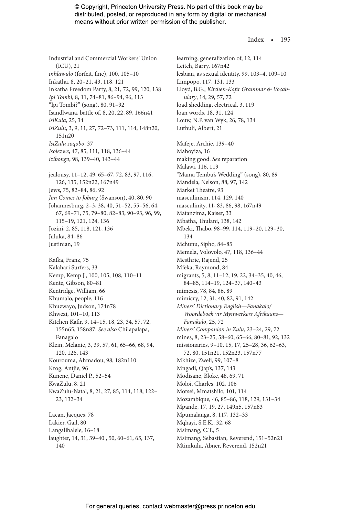#### Index • 195

Industrial and Commercial Workers' Union (ICU), 21 *inhlawulo* (forfeit, fine), 100, 105–10 Inkatha, 8, 20–21, 43, 118, 121 Inkatha Freedom Party, 8, 21, 72, 99, 120, 138 *Ipi Tombi*, 8, 11, 74–81, 86–94, 96, 113 "Ipi Tombi?" (song), 80, 91–92 Isandlwana, battle of, 8, 20, 22, 89, 166n41 *isiKula*, 25, 34 *isiZulu*, 3, 9, 11, 27, 72–73, 111, 114, 148n20, 151n20 *IsiZulu soqobo*, 37 *Isolezwe*, 47, 85, 111, 118, 136–44 *izibongo*, 98, 139–40, 143–44 jealousy, 11–12, 49, 65–67, 72, 83, 97, 116, 126, 135, 152n22, 167n49 Jews, 75, 82–84, 86, 92 *Jim Comes to Joburg* (Swanson), 40, 80, 90 Johannesburg, 2–3, 38, 40, 51–52, 55–56, 64, 67, 69–71, 75, 79–80, 82–83, 90–93, 96, 99, 115–19, 121, 124, 136 Jozini, 2, 85, 118, 121, 136 Juluka, 84–86 Justinian, 19 Kafka, Franz, 75 Kalahari Surfers, 33 Kemp, Kemp J., 100, 105, 108, 110–11 Kente, Gibson, 80–81 Kentridge, William, 66 Khumalo, people, 116 Khuzwayo, Judson, 174n78 Khwezi, 101–10, 113 Kitchen Kafir, 9, 14–15, 18, 23, 34, 57, 72, 155n65, 158n87. *See also* Chilapalapa, Fanagalo Klein, Melanie, 3, 39, 57, 61, 65–66, 68, 94, 120, 126, 143 Kourouma, Ahmadou, 98, 182n110 Krog, Antjie, 96 Kunene, Daniel P., 52–54 KwaZulu, 8, 21 KwaZulu-Natal, 8, 21, 27, 85, 114, 118, 122– 23, 132–34 Lacan, Jacques, 78 Lakier, Gail, 80 Langalibalele, 16–18 laughter, 14, 31, 39–40 , 50, 60–61, 65, 137, 140

learning, generalization of, 12, 114 Leitch, Barry, 167n42 lesbian, as sexual identity, 99, 103–4, 109–10 Limpopo, 117, 131, 133 Lloyd, B.G., *Kitchen-Kafir Grammar & Vocabulary*, 14, 29, 57, 72 load shedding, electrical, 3, 119 loan words, 18, 31, 124 Louw, N.P. van Wyk, 26, 78, 134 Luthuli, Albert, 21 Mafeje, Archie, 139–40 Mahoyiza, 16 making good. *See* reparation Malawi, 116, 119 "Mama Tembu's Wedding" (song), 80, 89 Mandela, Nelson, 88, 97, 142 Market Theatre, 93 masculinism, 114, 129, 140 masculinity, 11, 83, 86, 98, 167n49 Matanzima, Kaiser, 33 Mbatha, Thulani, 138, 142 Mbeki, Thabo, 98–99, 114, 119–20, 129–30, 134 Mchunu, Sipho, 84–85 Memela, Volovolo, 47, 118, 136–44 Mesthrie, Rajend, 25 Mfeka, Raymond, 84 migrants, 5, 8, 11–12, 19, 22, 34–35, 40, 46, 84–85, 114–19, 124–37, 140–43 mimesis, 78, 84, 86, 89 mimicry, 12, 31, 40, 82, 91, 142 *Miners' Dictionary English—Fanakalo/ Woordeboek vir Mynwerkers Afrikaans— Fanakalo*, 25, 72 *Miners' Companion in Zulu*, 23–24, 29, 72 mines, 8, 23–25, 58–60, 65–66, 80–81, 92, 132 missionaries, 9–10, 15, 17, 25–28, 36, 62–63, 72, 80, 151n21, 152n23, 157n77 Mkhize, Zweli, 99, 107–8 Mngadi, Qap's, 137, 143 Modisane, Bloke, 48, 69, 71 Moloi, Charles, 102, 106 Motsei, Mmatshilo, 101, 114 Mozambique, 46, 85–86, 118, 129, 131–34 Mpande, 17, 19, 27, 149n5, 157n83 Mpumalanga, 8, 117, 132–33 Mqhayi, S.E.K., 32, 68 Msimang, C.T., 5 Msimang, Sebastian, Reverend, 151–52n21 Mtimkulu, Abner, Reverend, 152n21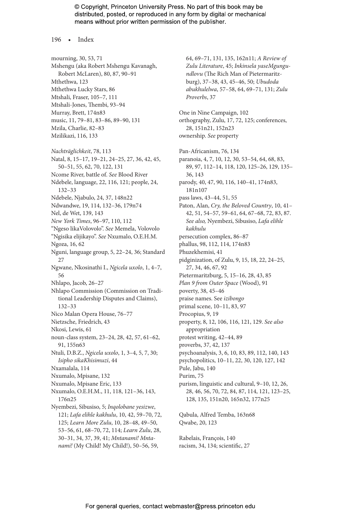196 • Index

mourning, 30, 53, 71 Mshengu (aka Robert Mshengu Kavanagh, Robert McLaren), 80, 87, 90–91 Mthethwa, 123 Mthethwa Lucky Stars, 86 Mtshali, Fraser, 105–7, 111 Mtshali-Jones, Thembi, 93–94 Murray, Brett, 174n83 music, 11, 79–81, 83–86, 89–90, 131 Mzila, Charlie, 82–83 Mzilikazi, 116, 133 *Nachträglichkeit*, 78, 113 Natal, 8, 15–17, 19–21, 24–25, 27, 36, 42, 45, 50–51, 55, 62, 70, 122, 131 Ncome River, battle of. *See* Blood River Ndebele, language, 22, 116, 121; people, 24, 132–33 Ndebele, Njabulo, 24, 37, 148n22 Ndwandwe, 19, 114, 132–36, 179n74 Nel, de Wet, 139, 143 *New York Times*, 96–97, 110, 112 "Ngeso likaVolovolo". *See* Memela, Volovolo "Ngisika elijikayo". *See* Nxumalo, O.E.H.M. Ngoza, 16, 62 Nguni, language group, 5, 22–24, 36; Standard 27 Ngwane, Nkosinathi I., *Ngicela uxolo*, 1, 4–7, 56 Nhlapo, Jacob, 26–27 Nhlapo Commission (Commission on Traditional Leadership Disputes and Claims), 132–33 Nico Malan Opera House, 76–77 Nietzsche, Friedrich, 43 Nkosi, Lewis, 61 noun-class system, 23–24, 28, 42, 57, 61–62, 91, 155n63 Ntuli, D.B.Z., *Ngicela uxolo*, 1, 3–4, 5, 7, 30; *Isipho sikaKhisimuzi*, 44 Nxamalala, 114 Nxumalo, Mpisane, 132 Nxumalo, Mpisane Eric, 133 Nxumalo, O.E.H.M., 11, 118, 121–36, 143, 176n25 Nyembezi, Sibusiso, 5; *Inqolobane yesizwe*, 121; *Lafa elihle kakhulu*, 10, 42, 59–70, 72, 125; *Learn More Zulu*, 10, 28–48, 49–50, 53–56, 61, 68–70, 72, 114; *Learn Zulu*, 28, 30–31, 34, 37, 39, 41; *Mntanami! Mntanami!* (My Child! My Child!), 50–56, 59,

64, 69–71, 131, 135, 162n11; *A Review of Zulu Literature*, 45; *Inkinsela yaseMgungundlovu* (The Rich Man of Pietermaritzburg), 37–38, 43, 45–46, 50; *Ubudoda abukhulelwa*, 57–58, 64, 69–71, 131; *Zulu Proverbs*, 37 One in Nine Campaign, 102 orthography, Zulu, 17, 72, 125; conferences, 28, 151n21, 152n23 ownership. *See* property Pan-Africanism, 76, 134 paranoia, 4, 7, 10, 12, 30, 53–54, 64, 68, 83, 89, 97, 112–14, 118, 120, 125–26, 129, 135– 36, 143 parody, 40, 47, 90, 116, 140–41, 174n83, 181n107 pass laws, 43–44, 51, 55 Paton, Alan, *Cry, the Beloved Country*, 10, 41– 42, 51, 54–57, 59–61, 64, 67–68, 72, 83, 87. *See also,* Nyembezi, Sibusiso, *Lafa elihle kakhulu* persecution complex, 86–87 phallus, 98, 112, 114, 174n83 Phuzekhemisi, 41 pidginization, of Zulu, 9, 15, 18, 22, 24–25, 27, 34, 46, 67, 92 Pietermaritzburg, 5, 15–16, 28, 43, 85 *Plan 9 from Outer Space* (Wood), 91 poverty, 38, 45–46 praise names. See *izibongo* primal scene, 10–11, 83, 97 Procopius, 9, 19 property, 8, 12, 106, 116, 121, 129. *See also*  appropriation protest writing, 42–44, 89 proverbs, 37, 42, 137 psychoanalysis, 3, 6, 10, 83, 89, 112, 140, 143 psychopolitics, 10–11, 22, 30, 120, 127, 142 Pule, Jabu, 140 Purim, 75 purism, linguistic and cultural, 9–10, 12, 26, 28, 46, 56, 70, 72, 84, 87, 114, 121, 123–25, 128, 135, 151n20, 165n32, 177n25 Qabula, Alfred Temba, 163n68 Qwabe, 20, 123

Rabelais, François, 140 racism, 34, 134; scientific, 27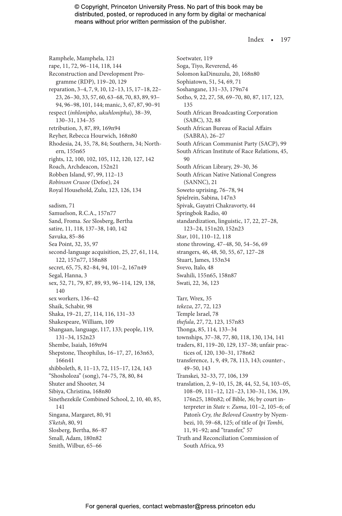Index • 197

Ramphele, Mamphela, 121 rape, 11, 72, 96–114, 118, 144 Reconstruction and Development Programme (RDP), 119–20, 129 reparation, 3–4, 7, 9, 10, 12–13, 15, 17–18, 22– 23, 26–30, 33, 57, 60, 63–68, 70, 83, 89, 93– 94, 96–98, 101, 144; manic, 3, 67, 87, 90–91 respect (*inhlonipho*, *ukuhlonipha*), 38–39, 130–31, 134–35 retribution, 3, 87, 89, 169n94 Reyher, Rebecca Hourwich, 168n80 Rhodesia, 24, 35, 78, 84; Southern, 34; Northern, 155n65 rights, 12, 100, 102, 105, 112, 120, 127, 142 Roach, Archdeacon, 152n21 Robben Island, 97, 99, 112–13 *Robinson Crusoe* (Defoe), 24 Royal Household, Zulu, 123, 126, 134 sadism, 71 Samuelson, R.C.A., 157n77 Sand, Froma. *See* Slosberg, Bertha satire, 11, 118, 137–38, 140, 142 Savuka, 85–86 Sea Point, 32, 35, 97 second-language acquisition, 25, 27, 61, 114, 122, 157n77, 158n88 secret, 65, 75, 82–84, 94, 101–2, 167n49 Segal, Hanna, 3 sex, 52, 71, 79, 87, 89, 93, 96–114, 129, 138, 140 sex workers, 136–42 Shaik, Schabir, 98 Shaka, 19–21, 27, 114, 116, 131–33 Shakespeare, William, 109 Shangaan, language, 117, 133; people, 119, 131–34, 152n23 Shembe, Isaiah, 169n94 Shepstone, Theophilus, 16–17, 27, 163n63, 166n41 shibboleth, 8, 11–13, 72, 115–17, 124, 143 "Shosholoza" (song), 74–75, 78, 80, 84 Shuter and Shooter, 34 Sibiya, Christina, 168n80 Sinethezekile Combined School, 2, 10, 40, 85, 141 Singana, Margaret, 80, 91 *S'ketsh*, 80, 91 Slosberg, Bertha, 86–87 Small, Adam, 180n82 Smith, Wilbur, 65–66

Soetwater, 119 Soga, Tiyo, Reverend, 46 Solomon kaDinuzulu, 20, 168n80 Sophiatown, 51, 54, 69, 71 Soshangane, 131–33, 179n74 Sotho, 9, 22, 27, 58, 69–70, 80, 87, 117, 123, 135 South African Broadcasting Corporation (SABC), 32, 88 South African Bureau of Racial Affairs (SABRA), 26–27 South African Communist Party (SACP), 99 South African Institute of Race Relations, 45, 90 South African Library, 29–30, 36 South African Native National Congress (SANNC), 21 Soweto uprising, 76–78, 94 Spielrein, Sabina, 147n3 Spivak, Gayatri Chakravorty, 44 Springbok Radio, 40 standardization, linguistic, 17, 22, 27–28, 123–24, 151n20, 152n23 *Star*, 101, 110–12, 118 stone throwing, 47–48, 50, 54–56, 69 strangers, 46, 48, 50, 55, 67, 127–28 Stuart, James, 153n34 Svevo, Italo, 48 Swahili, 155n65, 158n87 Swati, 22, 36, 123 Tarr, Wrex, 35 *tekeza*, 27, 72, 123 Temple Israel, 78 *thefula*, 27, 72, 123, 157n83 Thonga, 85, 114, 133–34 townships, 37–38, 77, 80, 118, 130, 134, 141 traders, 81, 119–20, 129, 137–38; unfair practices of, 120, 130–31, 178n62 transference, 1, 9, 49, 78, 113, 143; counter-, 49–50, 143 Transkei, 32–33, 77, 106, 139 translation, 2, 9–10, 15, 28, 44, 52, 54, 103–05, 108–09, 111–12, 121–23, 130–31, 136, 139, 176n25, 180n82; of Bible, 36; by court interpreter in *State v. Zuma*, 101–2, 105–6; of Paton's *Cry, the Beloved Country* by Nyembezi, 10, 59–68, 125; of title of *Ipi Tombi*, 11, 91–92; and "transfer," 57 Truth and Reconciliation Commission of South Africa, 93